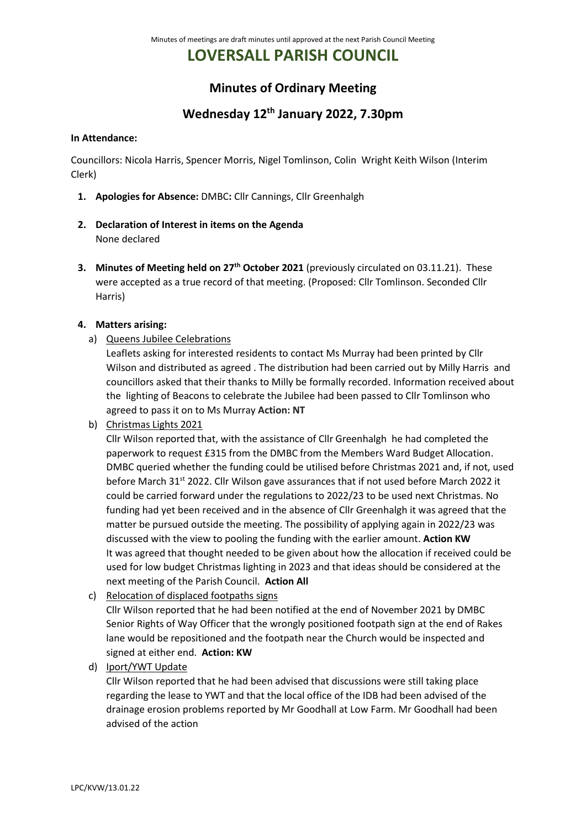# **LOVERSALL PARISH COUNCIL**

### **Minutes of Ordinary Meeting**

## **Wednesday 12th January 2022, 7.30pm**

#### **In Attendance:**

Councillors: Nicola Harris, Spencer Morris, Nigel Tomlinson, Colin Wright Keith Wilson (Interim Clerk)

- **1. Apologies for Absence:** DMBC**:** Cllr Cannings, Cllr Greenhalgh
- **2. Declaration of Interest in items on the Agenda** None declared
- **3. Minutes of Meeting held on 27th October 2021** (previously circulated on 03.11.21). These were accepted as a true record of that meeting. (Proposed: Cllr Tomlinson. Seconded Cllr Harris)

#### **4. Matters arising:**

a) Queens Jubilee Celebrations

Leaflets asking for interested residents to contact Ms Murray had been printed by Cllr Wilson and distributed as agreed . The distribution had been carried out by Milly Harris and councillors asked that their thanks to Milly be formally recorded. Information received about the lighting of Beacons to celebrate the Jubilee had been passed to Cllr Tomlinson who agreed to pass it on to Ms Murray **Action: NT**

b) Christmas Lights 2021

Cllr Wilson reported that, with the assistance of Cllr Greenhalgh he had completed the paperwork to request £315 from the DMBC from the Members Ward Budget Allocation. DMBC queried whether the funding could be utilised before Christmas 2021 and, if not, used before March 31<sup>st</sup> 2022. Cllr Wilson gave assurances that if not used before March 2022 it could be carried forward under the regulations to 2022/23 to be used next Christmas. No funding had yet been received and in the absence of Cllr Greenhalgh it was agreed that the matter be pursued outside the meeting. The possibility of applying again in 2022/23 was discussed with the view to pooling the funding with the earlier amount. **Action KW** It was agreed that thought needed to be given about how the allocation if received could be used for low budget Christmas lighting in 2023 and that ideas should be considered at the next meeting of the Parish Council. **Action All**

c) Relocation of displaced footpaths signs

Cllr Wilson reported that he had been notified at the end of November 2021 by DMBC Senior Rights of Way Officer that the wrongly positioned footpath sign at the end of Rakes lane would be repositioned and the footpath near the Church would be inspected and signed at either end. **Action: KW**

d) Iport/YWT Update

Cllr Wilson reported that he had been advised that discussions were still taking place regarding the lease to YWT and that the local office of the IDB had been advised of the drainage erosion problems reported by Mr Goodhall at Low Farm. Mr Goodhall had been advised of the action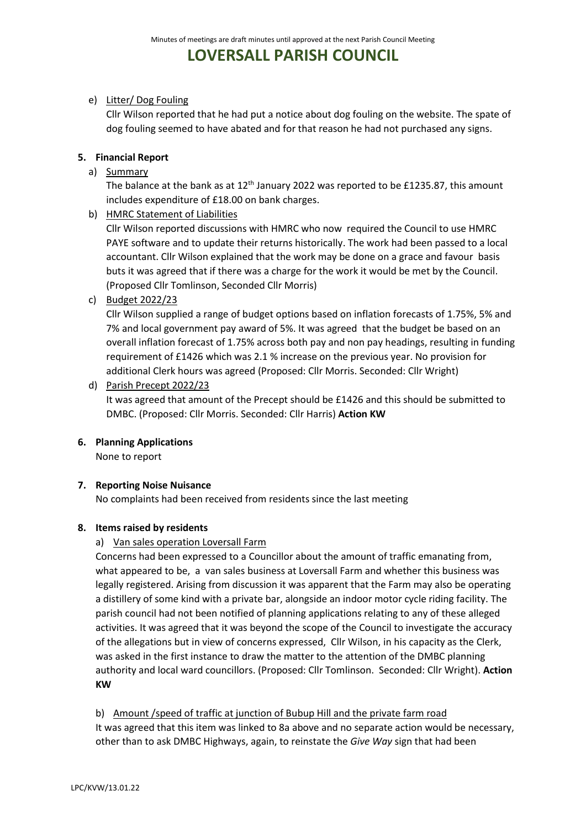## **LOVERSALL PARISH COUNCIL**

#### e) Litter/ Dog Fouling

Cllr Wilson reported that he had put a notice about dog fouling on the website. The spate of dog fouling seemed to have abated and for that reason he had not purchased any signs.

#### **5. Financial Report**

a) Summary

The balance at the bank as at  $12<sup>th</sup>$  January 2022 was reported to be £1235.87, this amount includes expenditure of £18.00 on bank charges.

b) HMRC Statement of Liabilities

Cllr Wilson reported discussions with HMRC who now required the Council to use HMRC PAYE software and to update their returns historically. The work had been passed to a local accountant. Cllr Wilson explained that the work may be done on a grace and favour basis buts it was agreed that if there was a charge for the work it would be met by the Council. (Proposed Cllr Tomlinson, Seconded Cllr Morris)

c) Budget 2022/23

Cllr Wilson supplied a range of budget options based on inflation forecasts of 1.75%, 5% and 7% and local government pay award of 5%. It was agreed that the budget be based on an overall inflation forecast of 1.75% across both pay and non pay headings, resulting in funding requirement of £1426 which was 2.1 % increase on the previous year. No provision for additional Clerk hours was agreed (Proposed: Cllr Morris. Seconded: Cllr Wright)

d) Parish Precept 2022/23

It was agreed that amount of the Precept should be £1426 and this should be submitted to DMBC. (Proposed: Cllr Morris. Seconded: Cllr Harris) **Action KW**

**6. Planning Applications**

None to report

#### **7. Reporting Noise Nuisance**

No complaints had been received from residents since the last meeting

#### **8. Items raised by residents**

#### a) Van sales operation Loversall Farm

Concerns had been expressed to a Councillor about the amount of traffic emanating from, what appeared to be, a van sales business at Loversall Farm and whether this business was legally registered. Arising from discussion it was apparent that the Farm may also be operating a distillery of some kind with a private bar, alongside an indoor motor cycle riding facility. The parish council had not been notified of planning applications relating to any of these alleged activities. It was agreed that it was beyond the scope of the Council to investigate the accuracy of the allegations but in view of concerns expressed, Cllr Wilson, in his capacity as the Clerk, was asked in the first instance to draw the matter to the attention of the DMBC planning authority and local ward councillors. (Proposed: Cllr Tomlinson. Seconded: Cllr Wright). **Action KW**

b) Amount /speed of traffic at junction of Bubup Hill and the private farm road

It was agreed that this item was linked to 8a above and no separate action would be necessary, other than to ask DMBC Highways, again, to reinstate the *Give Way* sign that had been